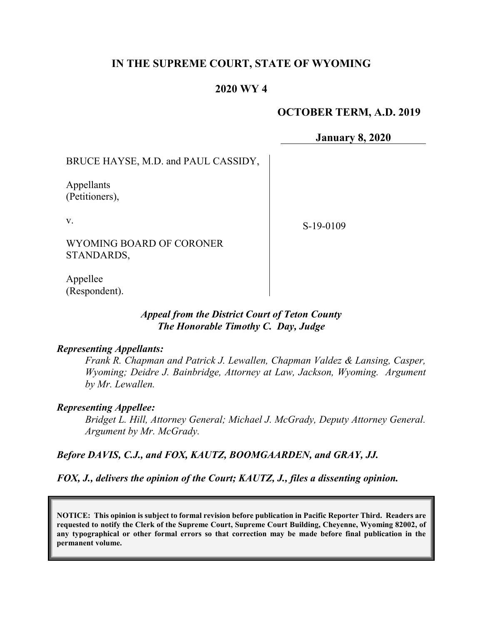# **IN THE SUPREME COURT, STATE OF WYOMING**

# **2020 WY 4**

## **OCTOBER TERM, A.D. 2019**

**January 8, 2020**

BRUCE HAYSE, M.D. and PAUL CASSIDY,

Appellants (Petitioners),

v.

S-19-0109

WYOMING BOARD OF CORONER STANDARDS,

Appellee (Respondent).

> *Appeal from the District Court of Teton County The Honorable Timothy C. Day, Judge*

#### *Representing Appellants:*

*Frank R. Chapman and Patrick J. Lewallen, Chapman Valdez & Lansing, Casper, Wyoming; Deidre J. Bainbridge, Attorney at Law, Jackson, Wyoming. Argument by Mr. Lewallen.*

## *Representing Appellee:*

*Bridget L. Hill, Attorney General; Michael J. McGrady, Deputy Attorney General. Argument by Mr. McGrady.*

*Before DAVIS, C.J., and FOX, KAUTZ, BOOMGAARDEN, and GRAY, JJ.*

*FOX, J., delivers the opinion of the Court; KAUTZ, J., files a dissenting opinion.*

**NOTICE: This opinion is subject to formal revision before publication in Pacific Reporter Third. Readers are requested to notify the Clerk of the Supreme Court, Supreme Court Building, Cheyenne, Wyoming 82002, of any typographical or other formal errors so that correction may be made before final publication in the permanent volume.**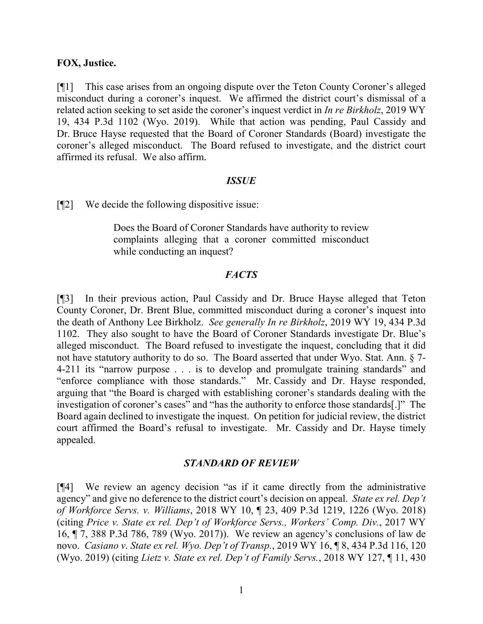## **FOX, Justice.**

[¶1] This case arises from an ongoing dispute over the Teton County Coroner's alleged misconduct during a coroner's inquest. We affirmed the district court's dismissal of a related action seeking to set aside the coroner's inquest verdict in *In re Birkholz*, 2019 WY 19, 434 P.3d 1102 (Wyo. 2019). While that action was pending, Paul Cassidy and Dr. Bruce Hayse requested that the Board of Coroner Standards (Board) investigate the coroner's alleged misconduct. The Board refused to investigate, and the district court affirmed its refusal. We also affirm.

#### *ISSUE*

[¶2] We decide the following dispositive issue:

Does the Board of Coroner Standards have authority to review complaints alleging that a coroner committed misconduct while conducting an inquest?

#### *FACTS*

[¶3] In their previous action, Paul Cassidy and Dr. Bruce Hayse alleged that Teton County Coroner, Dr. Brent Blue, committed misconduct during a coroner's inquest into the death of Anthony Lee Birkholz. *See generally In re Birkholz*, 2019 WY 19, 434 P.3d 1102. They also sought to have the Board of Coroner Standards investigate Dr. Blue's alleged misconduct. The Board refused to investigate the inquest, concluding that it did not have statutory authority to do so. The Board asserted that under Wyo. Stat. Ann. § 7- 4-211 its "narrow purpose . . . is to develop and promulgate training standards" and "enforce compliance with those standards." Mr. Cassidy and Dr. Hayse responded, arguing that "the Board is charged with establishing coroner's standards dealing with the investigation of coroner's cases" and "has the authority to enforce those standards[.]" The Board again declined to investigate the inquest. On petition for judicial review, the district court affirmed the Board's refusal to investigate. Mr. Cassidy and Dr. Hayse timely appealed.

## *STANDARD OF REVIEW*

[¶4] We review an agency decision "as if it came directly from the administrative agency" and give no deference to the district court's decision on appeal. *State ex rel. Dep't of Workforce Servs. v. Williams*, 2018 WY 10, ¶ 23, 409 P.3d 1219, 1226 (Wyo. 2018) (citing *Price v. State ex rel. Dep't of Workforce Servs., Workers' Comp. Div.*, 2017 WY 16, ¶ 7, 388 P.3d 786, 789 (Wyo. 2017)). We review an agency's conclusions of law de novo. *Casiano v. State ex rel. Wyo. Dep't of Transp.*, 2019 WY 16, ¶ 8, 434 P.3d 116, 120 (Wyo. 2019) (citing *Lietz v. State ex rel. Dep't of Family Servs.*, 2018 WY 127, ¶ 11, 430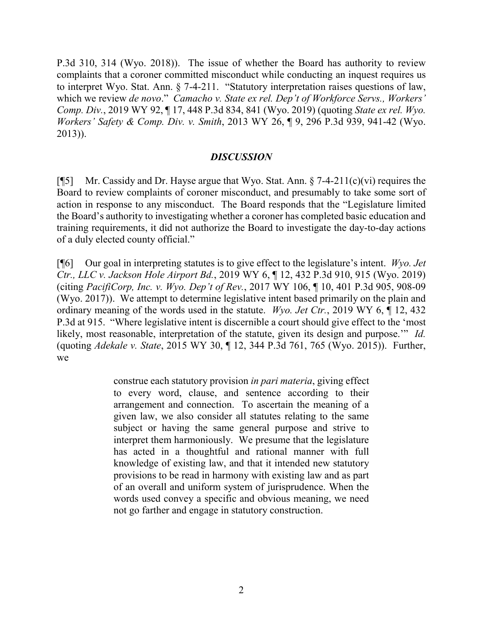P.3d 310, 314 (Wyo. 2018)). The issue of whether the Board has authority to review complaints that a coroner committed misconduct while conducting an inquest requires us to interpret Wyo. Stat. Ann. § 7-4-211. "Statutory interpretation raises questions of law, which we review *de novo*." *Camacho v. State ex rel. Dep't of Workforce Servs., Workers' Comp. Div.*, 2019 WY 92, ¶ 17, 448 P.3d 834, 841 (Wyo. 2019) (quoting *State ex rel. Wyo. Workers' Safety & Comp. Div. v. Smith*, 2013 WY 26, ¶ 9, 296 P.3d 939, 941-42 (Wyo. 2013)).

## *DISCUSSION*

[¶5] Mr. Cassidy and Dr. Hayse argue that Wyo. Stat. Ann.  $\S$  7-4-211(c)(vi) requires the Board to review complaints of coroner misconduct, and presumably to take some sort of action in response to any misconduct. The Board responds that the "Legislature limited the Board's authority to investigating whether a coroner has completed basic education and training requirements, it did not authorize the Board to investigate the day-to-day actions of a duly elected county official."

[¶6] Our goal in interpreting statutes is to give effect to the legislature's intent. *Wyo. Jet Ctr., LLC v. Jackson Hole Airport Bd.*, 2019 WY 6, ¶ 12, 432 P.3d 910, 915 (Wyo. 2019) (citing *PacifiCorp, Inc. v. Wyo. Dep't of Rev.*, 2017 WY 106, ¶ 10, 401 P.3d 905, 908-09 (Wyo. 2017)). We attempt to determine legislative intent based primarily on the plain and ordinary meaning of the words used in the statute. *Wyo. Jet Ctr.*, 2019 WY 6, ¶ 12, 432 P.3d at 915."Where legislative intent is discernible a court should give effect to the 'most likely, most reasonable, interpretation of the statute, given its design and purpose.'" *Id.*  (quoting *Adekale v. State*, 2015 WY 30, ¶ 12, 344 P.3d 761, 765 (Wyo. 2015)). Further, we

> construe each statutory provision *in pari materia*, giving effect to every word, clause, and sentence according to their arrangement and connection. To ascertain the meaning of a given law, we also consider all statutes relating to the same subject or having the same general purpose and strive to interpret them harmoniously. We presume that the legislature has acted in a thoughtful and rational manner with full knowledge of existing law, and that it intended new statutory provisions to be read in harmony with existing law and as part of an overall and uniform system of jurisprudence. When the words used convey a specific and obvious meaning, we need not go farther and engage in statutory construction.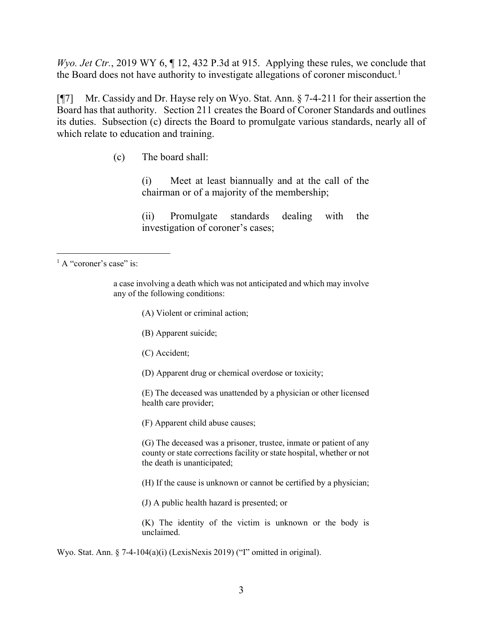*Wyo. Jet Ctr.*, 2019 WY 6, ¶ 12, 432 P.3d at 915.Applying these rules, we conclude that the Board does not have authority to investigate allegations of coroner misconduct.<sup>[1](#page-3-0)</sup>

[¶7] Mr. Cassidy and Dr. Hayse rely on Wyo. Stat. Ann. § 7-4-211 for their assertion the Board has that authority. Section 211 creates the Board of Coroner Standards and outlines its duties. Subsection (c) directs the Board to promulgate various standards, nearly all of which relate to education and training.

(c) The board shall:

(i) Meet at least biannually and at the call of the chairman or of a majority of the membership;

(ii) Promulgate standards dealing with the investigation of coroner's cases;

- (A) Violent or criminal action;
- (B) Apparent suicide;
- (C) Accident;
- (D) Apparent drug or chemical overdose or toxicity;

(E) The deceased was unattended by a physician or other licensed health care provider;

(F) Apparent child abuse causes;

(G) The deceased was a prisoner, trustee, inmate or patient of any county or state corrections facility or state hospital, whether or not the death is unanticipated;

(H) If the cause is unknown or cannot be certified by a physician;

(J) A public health hazard is presented; or

(K) The identity of the victim is unknown or the body is unclaimed.

Wyo. Stat. Ann. § 7-4-104(a)(i) (LexisNexis 2019) ("I" omitted in original).

<span id="page-3-0"></span><sup>&</sup>lt;sup>1</sup> A "coroner's case" is:

a case involving a death which was not anticipated and which may involve any of the following conditions: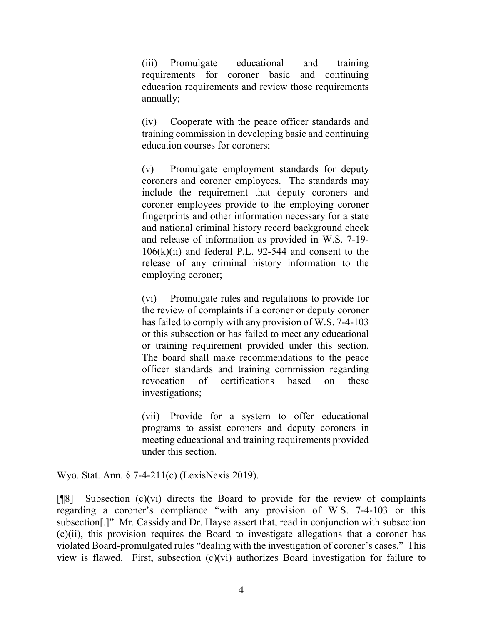(iii) Promulgate educational and training requirements for coroner basic and continuing education requirements and review those requirements annually;

(iv) Cooperate with the peace officer standards and training commission in developing basic and continuing education courses for coroners;

(v) Promulgate employment standards for deputy coroners and coroner employees. The standards may include the requirement that deputy coroners and coroner employees provide to the employing coroner fingerprints and other information necessary for a state and national criminal history record background check and release of information as provided in W.S. 7-19-  $106(k)(ii)$  and federal P.L. 92-544 and consent to the release of any criminal history information to the employing coroner;

(vi) Promulgate rules and regulations to provide for the review of complaints if a coroner or deputy coroner has failed to comply with any provision of W.S. 7-4-103 or this subsection or has failed to meet any educational or training requirement provided under this section. The board shall make recommendations to the peace officer standards and training commission regarding revocation of certifications based on these investigations;

(vii) Provide for a system to offer educational programs to assist coroners and deputy coroners in meeting educational and training requirements provided under this section.

Wyo. Stat. Ann. § 7-4-211(c) (LexisNexis 2019).

 $[$ [8] Subsection (c)(vi) directs the Board to provide for the review of complaints regarding a coroner's compliance "with any provision of W.S. 7-4-103 or this subsection[.]" Mr. Cassidy and Dr. Hayse assert that, read in conjunction with subsection (c)(ii), this provision requires the Board to investigate allegations that a coroner has violated Board-promulgated rules "dealing with the investigation of coroner's cases." This view is flawed. First, subsection (c)(vi) authorizes Board investigation for failure to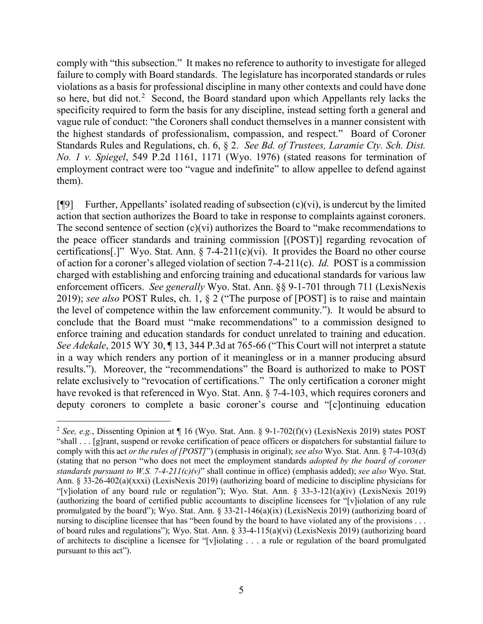comply with "this subsection." It makes no reference to authority to investigate for alleged failure to comply with Board standards. The legislature has incorporated standards or rules violations as a basis for professional discipline in many other contexts and could have done so here, but did not.<sup>[2](#page-5-0)</sup> Second, the Board standard upon which Appellants rely lacks the specificity required to form the basis for any discipline, instead setting forth a general and vague rule of conduct: "the Coroners shall conduct themselves in a manner consistent with the highest standards of professionalism, compassion, and respect." Board of Coroner Standards Rules and Regulations, ch. 6, § 2.*See Bd. of Trustees, Laramie Cty. Sch. Dist. No. 1 v. Spiegel*, 549 P.2d 1161, 1171 (Wyo. 1976) (stated reasons for termination of employment contract were too "vague and indefinite" to allow appellee to defend against them).

 $[$ [9] Further, Appellants' isolated reading of subsection (c)(vi), is undercut by the limited action that section authorizes the Board to take in response to complaints against coroners. The second sentence of section (c)(vi) authorizes the Board to "make recommendations to the peace officer standards and training commission [(POST)] regarding revocation of certifications[.]" Wyo. Stat. Ann.  $\S$  7-4-211(c)(vi). It provides the Board no other course of action for a coroner's alleged violation of section 7-4-211(c). *Id.* POST is a commission charged with establishing and enforcing training and educational standards for various law enforcement officers. *See generally* Wyo. Stat. Ann. §§ 9-1-701 through 711 (LexisNexis 2019); *see also* POST Rules, ch. 1, § 2 ("The purpose of [POST] is to raise and maintain the level of competence within the law enforcement community."). It would be absurd to conclude that the Board must "make recommendations" to a commission designed to enforce training and education standards for conduct unrelated to training and education. *See Adekale*, 2015 WY 30, ¶ 13, 344 P.3d at 765-66 ("This Court will not interpret a statute in a way which renders any portion of it meaningless or in a manner producing absurd results."). Moreover, the "recommendations" the Board is authorized to make to POST relate exclusively to "revocation of certifications." The only certification a coroner might have revoked is that referenced in Wyo. Stat. Ann. § 7-4-103, which requires coroners and deputy coroners to complete a basic coroner's course and "[c]ontinuing education

<span id="page-5-0"></span><sup>&</sup>lt;sup>2</sup> *See, e.g.*, Dissenting Opinion at  $\P$  16 (Wyo. Stat. Ann. § 9-1-702(f)(v) (LexisNexis 2019) states POST "shall . . . [g]rant, suspend or revoke certification of peace officers or dispatchers for substantial failure to comply with this act *or the rules of [POST]*") (emphasis in original); *see also* Wyo. Stat. Ann. § 7-4-103(d) (stating that no person "who does not meet the employment standards *adopted by the board of coroner standards pursuant to W.S. 7-4-211(c)(v)*" shall continue in office) (emphasis added); *see also* Wyo. Stat. Ann. § 33-26-402(a)(xxxi) (LexisNexis 2019) (authorizing board of medicine to discipline physicians for "[v]iolation of any board rule or regulation"); Wyo. Stat. Ann. § 33-3-121(a)(iv) (LexisNexis 2019) (authorizing the board of certified public accountants to discipline licensees for "[v]iolation of any rule promulgated by the board"); Wyo. Stat. Ann. § 33-21-146(a)(ix) (LexisNexis 2019) (authorizing board of nursing to discipline licensee that has "been found by the board to have violated any of the provisions . . . of board rules and regulations"); Wyo. Stat. Ann. § 33-4-115(a)(vi) (LexisNexis 2019) (authorizing board of architects to discipline a licensee for "[v]iolating . . . a rule or regulation of the board promulgated pursuant to this act").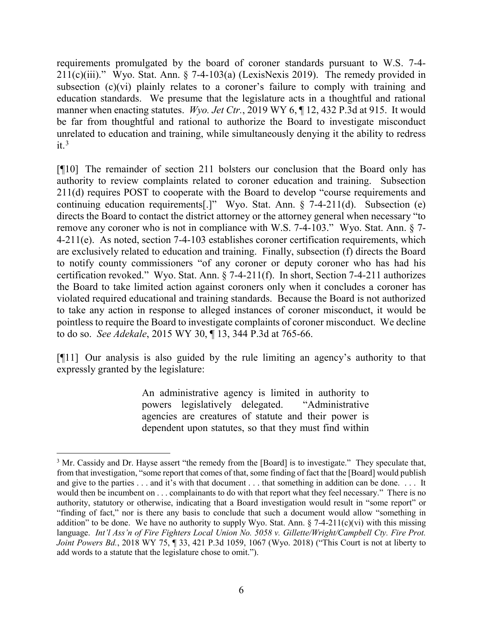requirements promulgated by the board of coroner standards pursuant to W.S. 7-4-  $211(c)(iii)$ ." Wyo. Stat. Ann. § 7-4-103(a) (LexisNexis 2019). The remedy provided in subsection (c)(vi) plainly relates to a coroner's failure to comply with training and education standards. We presume that the legislature acts in a thoughtful and rational manner when enacting statutes. *Wyo. Jet Ctr.*, 2019 WY 6, ¶ 12, 432 P.3d at 915. It would be far from thoughtful and rational to authorize the Board to investigate misconduct unrelated to education and training, while simultaneously denying it the ability to redress  $it.^3$  $it.^3$ 

[¶10] The remainder of section 211 bolsters our conclusion that the Board only has authority to review complaints related to coroner education and training. Subsection 211(d) requires POST to cooperate with the Board to develop "course requirements and continuing education requirements[.]" Wyo. Stat. Ann. § 7-4-211(d). Subsection (e) directs the Board to contact the district attorney or the attorney general when necessary "to remove any coroner who is not in compliance with W.S. 7-4-103." Wyo. Stat. Ann. § 7- 4-211(e). As noted, section 7-4-103 establishes coroner certification requirements, which are exclusively related to education and training. Finally, subsection (f) directs the Board to notify county commissioners "of any coroner or deputy coroner who has had his certification revoked." Wyo. Stat. Ann. § 7-4-211(f). In short, Section 7-4-211 authorizes the Board to take limited action against coroners only when it concludes a coroner has violated required educational and training standards. Because the Board is not authorized to take any action in response to alleged instances of coroner misconduct, it would be pointless to require the Board to investigate complaints of coroner misconduct. We decline to do so. *See Adekale*, 2015 WY 30, ¶ 13, 344 P.3d at 765-66.

[¶11] Our analysis is also guided by the rule limiting an agency's authority to that expressly granted by the legislature:

> An administrative agency is limited in authority to powers legislatively delegated. "Administrative agencies are creatures of statute and their power is dependent upon statutes, so that they must find within

<span id="page-6-0"></span><sup>&</sup>lt;sup>3</sup> Mr. Cassidy and Dr. Hayse assert "the remedy from the [Board] is to investigate." They speculate that, from that investigation, "some report that comes of that, some finding of fact that the [Board] would publish and give to the parties . . . and it's with that document . . . that something in addition can be done. . . . It would then be incumbent on . . . complainants to do with that report what they feel necessary." There is no authority, statutory or otherwise, indicating that a Board investigation would result in "some report" or "finding of fact," nor is there any basis to conclude that such a document would allow "something in addition" to be done. We have no authority to supply Wyo. Stat. Ann.  $\S$  7-4-211(c)(vi) with this missing language. *Int'l Ass'n of Fire Fighters Local Union No. 5058 v. Gillette/Wright/Campbell Cty. Fire Prot. Joint Powers Bd.*, 2018 WY 75, ¶ 33, 421 P.3d 1059, 1067 (Wyo. 2018) ("This Court is not at liberty to add words to a statute that the legislature chose to omit.").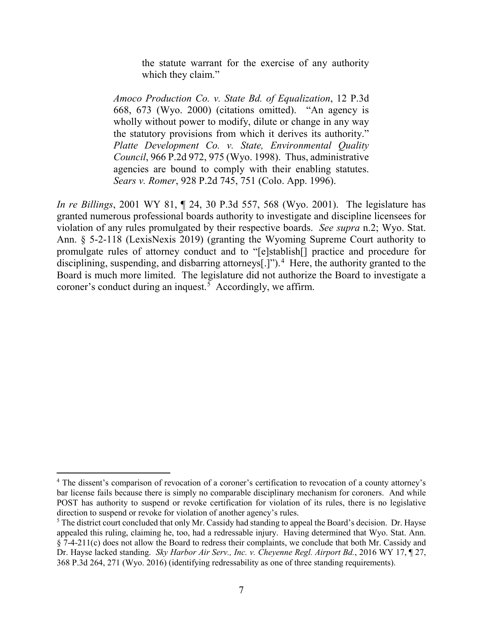the statute warrant for the exercise of any authority which they claim."

*Amoco Production Co. v. State Bd. of Equalization*, 12 P.3d 668, 673 (Wyo. 2000) (citations omitted). "An agency is wholly without power to modify, dilute or change in any way the statutory provisions from which it derives its authority." *Platte Development Co. v. State, Environmental Quality Council*, 966 P.2d 972, 975 (Wyo. 1998). Thus, administrative agencies are bound to comply with their enabling statutes. *Sears v. Romer*, 928 P.2d 745, 751 (Colo. App. 1996).

*In re Billings*, 2001 WY 81, ¶ 24, 30 P.3d 557, 568 (Wyo. 2001). The legislature has granted numerous professional boards authority to investigate and discipline licensees for violation of any rules promulgated by their respective boards. *See supra* n.2; Wyo. Stat. Ann. § 5-2-118 (LexisNexis 2019) (granting the Wyoming Supreme Court authority to promulgate rules of attorney conduct and to "[e]stablish[] practice and procedure for disciplining, suspending, and disbarring attorneys[.]").<sup>[4](#page-7-0)</sup> Here, the authority granted to the Board is much more limited. The legislature did not authorize the Board to investigate a coroner's conduct during an inquest. [5](#page-7-1) Accordingly, we affirm.

<span id="page-7-0"></span><sup>&</sup>lt;sup>4</sup> The dissent's comparison of revocation of a coroner's certification to revocation of a county attorney's bar license fails because there is simply no comparable disciplinary mechanism for coroners. And while POST has authority to suspend or revoke certification for violation of its rules, there is no legislative direction to suspend or revoke for violation of another agency's rules.

<span id="page-7-1"></span><sup>&</sup>lt;sup>5</sup> The district court concluded that only Mr. Cassidy had standing to appeal the Board's decision. Dr. Hayse appealed this ruling, claiming he, too, had a redressable injury. Having determined that Wyo. Stat. Ann. § 7-4-211(c) does not allow the Board to redress their complaints, we conclude that both Mr. Cassidy and Dr. Hayse lacked standing. *Sky Harbor Air Serv., Inc. v. Cheyenne Regl. Airport Bd.*, 2016 WY 17, ¶ 27, 368 P.3d 264, 271 (Wyo. 2016) (identifying redressability as one of three standing requirements).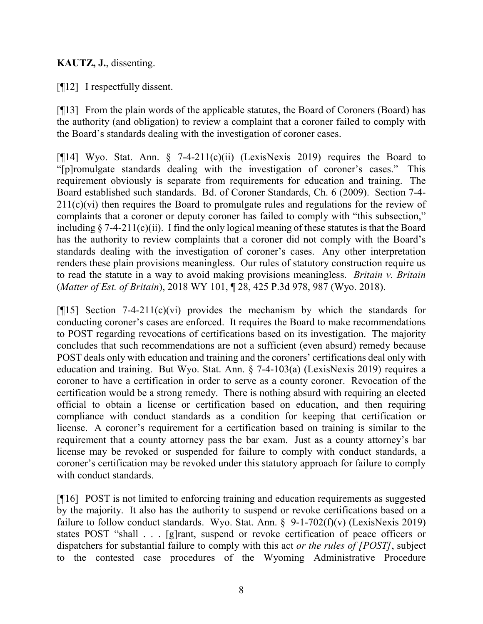# **KAUTZ, J.**, dissenting.

[¶12] I respectfully dissent.

[¶13] From the plain words of the applicable statutes, the Board of Coroners (Board) has the authority (and obligation) to review a complaint that a coroner failed to comply with the Board's standards dealing with the investigation of coroner cases.

[¶14] Wyo. Stat. Ann. § 7-4-211(c)(ii) (LexisNexis 2019) requires the Board to "[p]romulgate standards dealing with the investigation of coroner's cases." This requirement obviously is separate from requirements for education and training. The Board established such standards. Bd. of Coroner Standards, Ch. 6 (2009). Section 7-4- 211(c)(vi) then requires the Board to promulgate rules and regulations for the review of complaints that a coroner or deputy coroner has failed to comply with "this subsection," including  $\S$  7-4-211(c)(ii). I find the only logical meaning of these statutes is that the Board has the authority to review complaints that a coroner did not comply with the Board's standards dealing with the investigation of coroner's cases. Any other interpretation renders these plain provisions meaningless. Our rules of statutory construction require us to read the statute in a way to avoid making provisions meaningless. *Britain v. Britain*  (*Matter of Est. of Britain*), 2018 WY 101, ¶ 28, 425 P.3d 978, 987 (Wyo. 2018).

[ $[15]$ ] Section 7-4-211(c)(vi) provides the mechanism by which the standards for conducting coroner's cases are enforced. It requires the Board to make recommendations to POST regarding revocations of certifications based on its investigation. The majority concludes that such recommendations are not a sufficient (even absurd) remedy because POST deals only with education and training and the coroners' certifications deal only with education and training. But Wyo. Stat. Ann. § 7-4-103(a) (LexisNexis 2019) requires a coroner to have a certification in order to serve as a county coroner. Revocation of the certification would be a strong remedy. There is nothing absurd with requiring an elected official to obtain a license or certification based on education, and then requiring compliance with conduct standards as a condition for keeping that certification or license. A coroner's requirement for a certification based on training is similar to the requirement that a county attorney pass the bar exam. Just as a county attorney's bar license may be revoked or suspended for failure to comply with conduct standards, a coroner's certification may be revoked under this statutory approach for failure to comply with conduct standards.

[¶16] POST is not limited to enforcing training and education requirements as suggested by the majority. It also has the authority to suspend or revoke certifications based on a failure to follow conduct standards. Wyo. Stat. Ann.  $\S$  9-1-702(f)(v) (LexisNexis 2019) states POST "shall . . . [g]rant, suspend or revoke certification of peace officers or dispatchers for substantial failure to comply with this act *or the rules of [POST]*, subject to the contested case procedures of the Wyoming Administrative Procedure